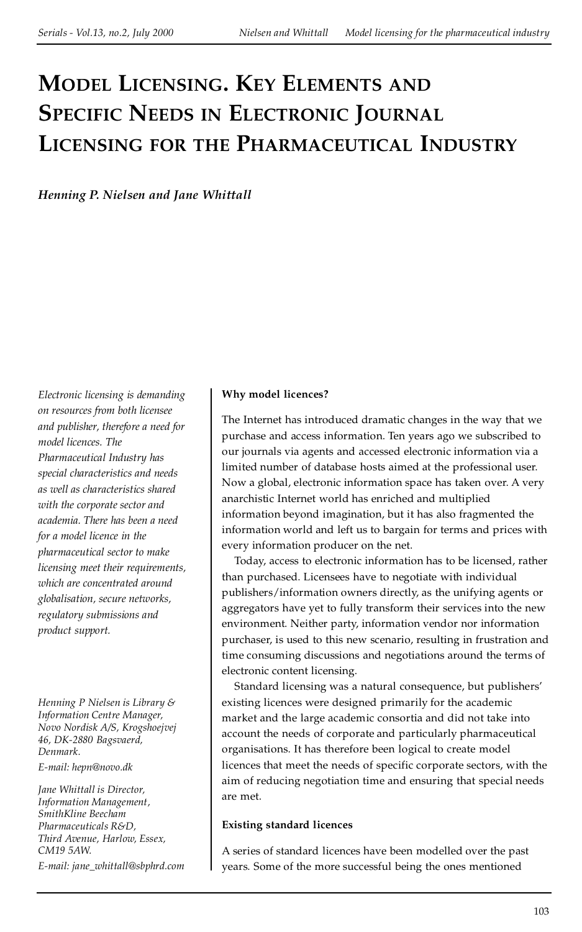# **MODEL LICENSING. KEY ELEMENTS AND SPECIFIC NEEDS IN ELECTRONIC JOURNAL LICENSING FOR THE PHARMACEUTICAL INDUSTRY**

*Henning P. Nielsen and Jane Whittall*

*Electronic licensing is demanding on resources from both licensee and publisher, therefore a need for model licences. The Pharmaceutical Industry has special characteristics and needs as well as characteristics shared with the corporate sector and academia. There has been a need for a model licence in the pharmaceutical sector to make licensing meet their requirements, which are concentrated around globalisation, secure networks, regulatory submissions and product support.*

*Henning P Nielsen is Library & Information Centre Manager, Novo Nordisk A/S, Krogshoejvej 46, DK-2880 Bagsvaerd, Denmark.*

*E-mail: hepn@novo.dk*

*Jane Whittall is Director, Information Management, SmithKline Beecham Pharmaceuticals R&D, Third Avenue, Harlow, Essex, CM19 5AW. E-mail: jane\_whittall@sbphrd.com*

#### **Why model licences?**

The Internet has introduced dramatic changes in the way that we purchase and access information. Ten years ago we subscribed to our journals via agents and accessed electronic information via a limited number of database hosts aimed at the professional user. Now a global, electronic information space has taken over. A very anarchistic Internet world has enriched and multiplied information beyond imagination, but it has also fragmented the information world and left us to bargain for terms and prices with every information producer on the net.

Today, access to electronic information has to be licensed, rather than purchased. Licensees have to negotiate with individual publishers/information owners directly, as the unifying agents or aggregators have yet to fully transform their services into the new environment. Neither party, information vendor nor information purchaser, is used to this new scenario, resulting in frustration and time consuming discussions and negotiations around the terms of electronic content licensing.

Standard licensing was a natural consequence, but publishers' existing licences were designed primarily for the academic market and the large academic consortia and did not take into account the needs of corporate and particularly pharmaceutical organisations. It has therefore been logical to create model licences that meet the needs of specific corporate sectors, with the aim of reducing negotiation time and ensuring that special needs are met.

#### **Existing standard licences**

A series of standard licences have been modelled over the past years. Some of the more successful being the ones mentioned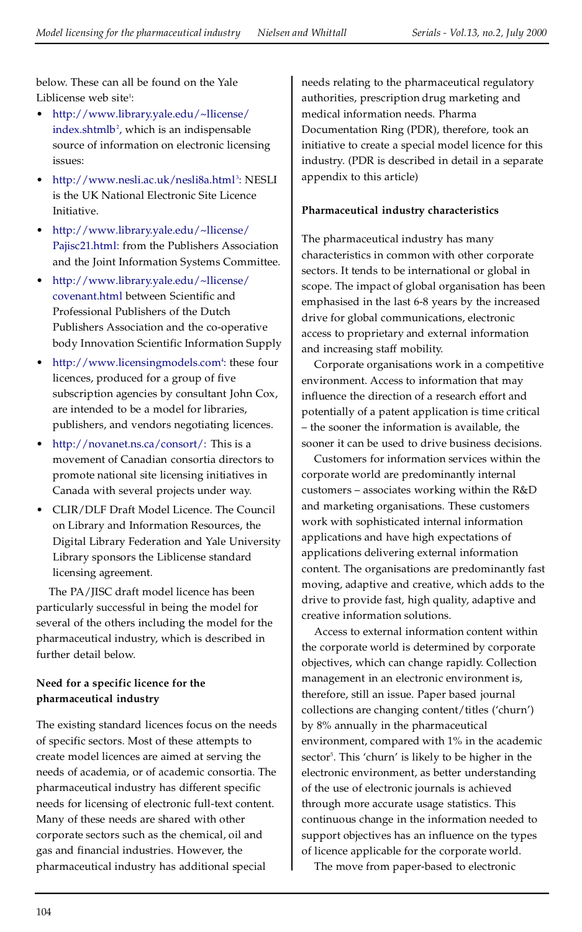below. These can all be found on the Yale Liblicense web site<sup>1</sup>:

- · [http://www.library.yale.edu/~llicense/](http://www.library.yale.edu/%7Ellicense/indexshtml) [index.shtmlb](http://www.library.yale.edu/%7Ellicense/indexshtml)<sup>2</sup>, which is an indispensable source of information on electronic licensing issues:
- <http://www.nesli.ac.uk/nesli8a.html><sup>3</sup>: NESLI is the UK National Electronic Site Licence Initiative.
- · [http://www.library.yale.edu/~llicense/](http://www.library.yale.edu/%7Ellicense/Pajisc21.html) [Pajisc21.html:](http://www.library.yale.edu/%7Ellicense/Pajisc21.html) from the Publishers Association and the Joint Information Systems Committee.
- · [http://www.library.yale.edu/~llicense/](http://www.library.yale.edu/%7Ellicense/covenant.html) [covenant.html](http://www.library.yale.edu/%7Ellicense/covenant.html) between Scientific and Professional Publishers of the Dutch Publishers Association and the co-operative body Innovation Scientific Information Supply
- <http://www.licensingmodels.com><sup>4</sup>: these four licences, produced for a group of five subscription agencies by consultant John Cox, are intended to be a model for libraries, publishers, and vendors negotiating licences.
- [http://novanet.ns.ca/consort/:](http://novanet.ns.ca/consort) This is a movement of Canadian consortia directors to promote national site licensing initiatives in Canada with several projects under way.
- · CLIR/DLF Draft Model Licence. The Council on Library and Information Resources, the Digital Library Federation and Yale University Library sponsors the Liblicense standard licensing agreement.

The PA/JISC draft model licence has been particularly successful in being the model for several of the others including the model for the pharmaceutical industry, which is described in further detail below.

# **Need for a specific licence for the pharmaceutical industry**

The existing standard licences focus on the needs of specific sectors. Most of these attempts to create model licences are aimed at serving the needs of academia, or of academic consortia. The pharmaceutical industry has different specific needs for licensing of electronic full-text content. Many of these needs are shared with other corporate sectors such as the chemical, oil and gas and financial industries. However, the pharmaceutical industry has additional special

needs relating to the pharmaceutical regulatory authorities, prescription drug marketing and medical information needs. Pharma Documentation Ring (PDR), therefore, took an initiative to create a special model licence for this industry. (PDR is described in detail in a separate appendix to this article)

# **Pharmaceutical industry characteristics**

The pharmaceutical industry has many characteristics in common with other corporate sectors. It tends to be international or global in scope. The impact of global organisation has been emphasised in the last 6-8 years by the increased drive for global communications, electronic access to proprietary and external information and increasing staff mobility.

Corporate organisations work in a competitive environment. Access to information that may influence the direction of a research effort and potentially of a patent application is time critical ± the sooner the information is available, the sooner it can be used to drive business decisions.

Customers for information services within the corporate world are predominantly internal customers  $-$  associates working within the  $R&D$ and marketing organisations. These customers work with sophisticated internal information applications and have high expectations of applications delivering external information content. The organisations are predominantly fast moving, adaptive and creative, which adds to the drive to provide fast, high quality, adaptive and creative information solutions.

Access to external information content within the corporate world is determined by corporate objectives, which can change rapidly. Collection management in an electronic environment is, therefore, still an issue. Paper based journal collections are changing content/titles ('churn') by 8% annually in the pharmaceutical environment, compared with 1% in the academic sector<sup>5</sup>. This 'churn' is likely to be higher in the electronic environment, as better understanding of the use of electronic journals is achieved through more accurate usage statistics. This continuous change in the information needed to support objectives has an influence on the types of licence applicable for the corporate world.

The move from paper-based to electronic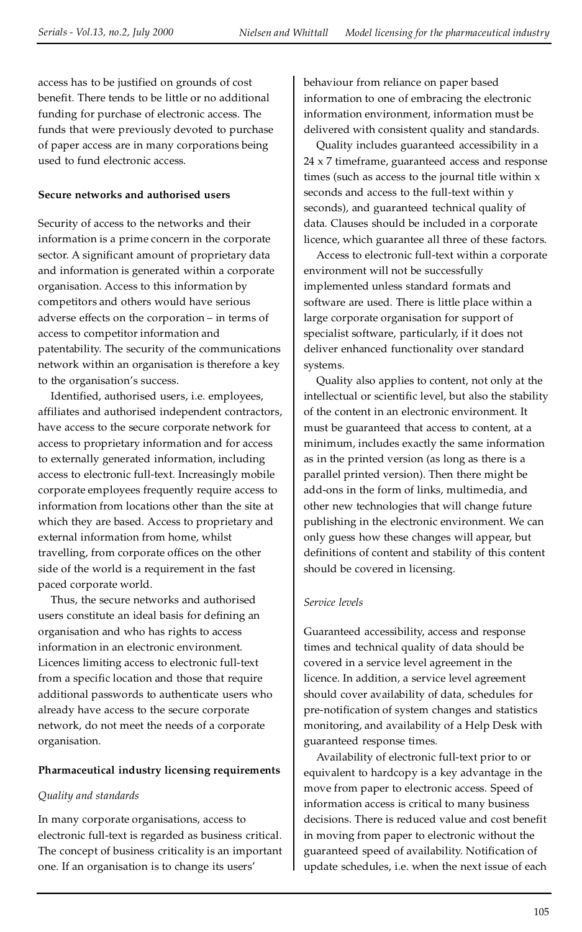access has to be justified on grounds of cost benefit. There tends to be little or no additional funding for purchase of electronic access. The funds that were previously devoted to purchase of paper access are in many corporations being used to fund electronic access.

## **Secure networks and authorised users**

Security of access to the networks and their information is a prime concern in the corporate sector. A significant amount of proprietary data and information is generated within a corporate organisation. Access to this information by competitors and others would have serious adverse effects on the corporation - in terms of access to competitor information and patentability. The security of the communications network within an organisation is therefore a key to the organisation's success.

Identified, authorised users, i.e. employees, affiliates and authorised independent contractors, have access to the secure corporate network for access to proprietary information and for access to externally generated information, including access to electronic full-text. Increasingly mobile corporate employees frequently require access to information from locations other than the site at which they are based. Access to proprietary and external information from home, whilst travelling, from corporate offices on the other side of the world is a requirement in the fast paced corporate world.

Thus, the secure networks and authorised users constitute an ideal basis for defining an organisation and who has rights to access information in an electronic environment. Licences limiting access to electronic full-text from a specific location and those that require additional passwords to authenticate users who already have access to the secure corporate network, do not meet the needs of a corporate organisation.

## **Pharmaceutical industry licensing requirements**

## *Quality and standards*

In many corporate organisations, access to electronic full-text is regarded as business critical. The concept of business criticality is an important one. If an organisation is to change its users'

behaviour from reliance on paper based information to one of embracing the electronic information environment, information must be delivered with consistent quality and standards.

Quality includes guaranteed accessibility in a 24 x 7 timeframe, guaranteed access and response times (such as access to the journal title within x seconds and access to the full-text within y seconds), and guaranteed technical quality of data. Clauses should be included in a corporate licence, which guarantee all three of these factors.

Access to electronic full-text within a corporate environment will not be successfully implemented unless standard formats and software are used. There is little place within a large corporate organisation for support of specialist software, particularly, if it does not deliver enhanced functionality over standard systems.

Quality also applies to content, not only at the intellectual or scientific level, but also the stability of the content in an electronic environment. It must be guaranteed that access to content, at a minimum, includes exactly the same information as in the printed version (as long as there is a parallel printed version). Then there might be add-ons in the form of links, multimedia, and other new technologies that will change future publishing in the electronic environment. We can only guess how these changes will appear, but definitions of content and stability of this content should be covered in licensing.

## *Service levels*

Guaranteed accessibility, access and response times and technical quality of data should be covered in a service level agreement in the licence. In addition, a service level agreement should cover availability of data, schedules for pre-notification of system changes and statistics monitoring, and availability of a Help Desk with guaranteed response times.

Availability of electronic full-text prior to or equivalent to hardcopy is a key advantage in the move from paper to electronic access. Speed of information access is critical to many business decisions. There is reduced value and cost benefit in moving from paper to electronic without the guaranteed speed of availability. Notification of update schedules, i.e. when the next issue of each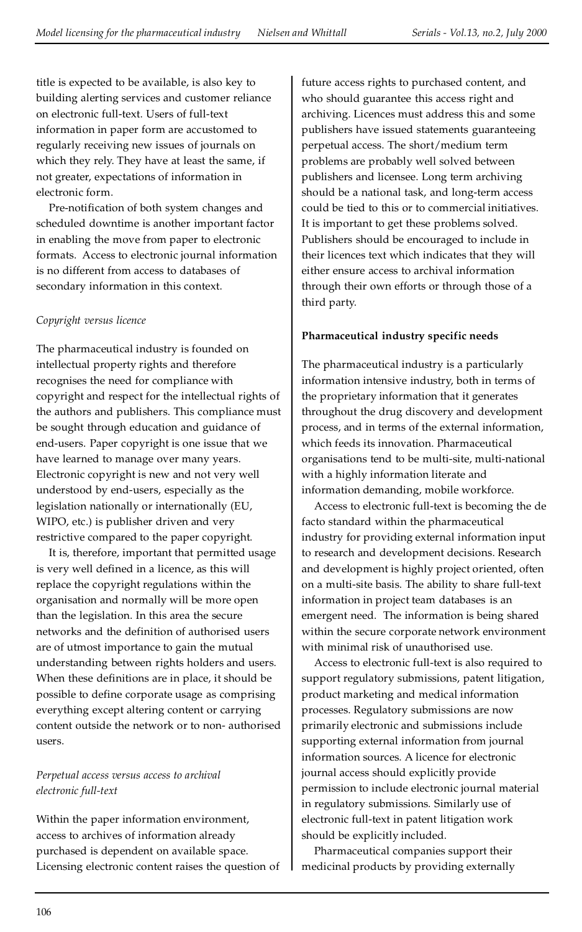title is expected to be available, is also key to building alerting services and customer reliance on electronic full-text. Users of full-text information in paper form are accustomed to regularly receiving new issues of journals on which they rely. They have at least the same, if not greater, expectations of information in electronic form.

Pre-notification of both system changes and scheduled downtime is another important factor in enabling the move from paper to electronic formats. Access to electronic journal information is no different from access to databases of secondary information in this context.

## *Copyright versus licence*

The pharmaceutical industry is founded on intellectual property rights and therefore recognises the need for compliance with copyright and respect for the intellectual rights of the authors and publishers. This compliance must be sought through education and guidance of end-users. Paper copyright is one issue that we have learned to manage over many years. Electronic copyright is new and not very well understood by end-users, especially as the legislation nationally or internationally (EU, WIPO, etc.) is publisher driven and very restrictive compared to the paper copyright.

It is, therefore, important that permitted usage is very well defined in a licence, as this will replace the copyright regulations within the organisation and normally will be more open than the legislation. In this area the secure networks and the definition of authorised users are of utmost importance to gain the mutual understanding between rights holders and users. When these definitions are in place, it should be possible to define corporate usage as comprising everything except altering content or carrying content outside the network or to non- authorised users.

# *Perpetual access versus access to archival electronic full-text*

Within the paper information environment, access to archives of information already purchased is dependent on available space. Licensing electronic content raises the question of

future access rights to purchased content, and who should guarantee this access right and archiving. Licences must address this and some publishers have issued statements guaranteeing perpetual access. The short/medium term problems are probably well solved between publishers and licensee. Long term archiving should be a national task, and long-term access could be tied to this or to commercial initiatives. It is important to get these problems solved. Publishers should be encouraged to include in their licences text which indicates that they will either ensure access to archival information through their own efforts or through those of a third party.

# **Pharmaceutical industry specific needs**

The pharmaceutical industry is a particularly information intensive industry, both in terms of the proprietary information that it generates throughout the drug discovery and development process, and in terms of the external information, which feeds its innovation. Pharmaceutical organisations tend to be multi-site, multi-national with a highly information literate and information demanding, mobile workforce.

Access to electronic full-text is becoming the de facto standard within the pharmaceutical industry for providing external information input to research and development decisions. Research and development is highly project oriented, often on a multi-site basis. The ability to share full-text information in project team databases is an emergent need. The information is being shared within the secure corporate network environment with minimal risk of unauthorised use.

Access to electronic full-text is also required to support regulatory submissions, patent litigation, product marketing and medical information processes. Regulatory submissions are now primarily electronic and submissions include supporting external information from journal information sources. A licence for electronic journal access should explicitly provide permission to include electronic journal material in regulatory submissions. Similarly use of electronic full-text in patent litigation work should be explicitly included.

Pharmaceutical companies support their medicinal products by providing externally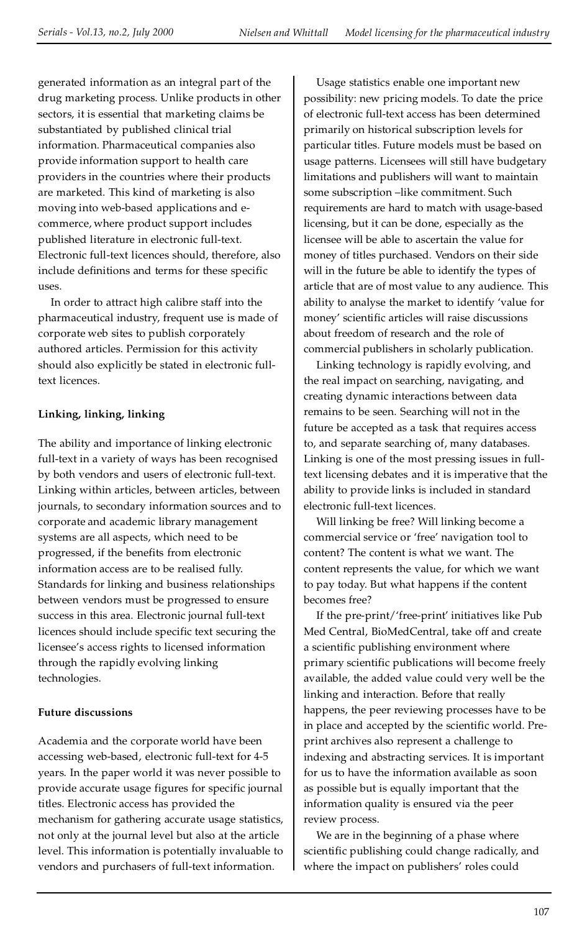generated information as an integral part of the drug marketing process. Unlike products in other sectors, it is essential that marketing claims be substantiated by published clinical trial information. Pharmaceutical companies also provide information support to health care providers in the countries where their products are marketed. This kind of marketing is also moving into web-based applications and ecommerce, where product support includes published literature in electronic full-text. Electronic full-text licences should, therefore, also include definitions and terms for these specific uses.

In order to attract high calibre staff into the pharmaceutical industry, frequent use is made of corporate web sites to publish corporately authored articles. Permission for this activity should also explicitly be stated in electronic fulltext licences.

# **Linking, linking, linking**

The ability and importance of linking electronic full-text in a variety of ways has been recognised by both vendors and users of electronic full-text. Linking within articles, between articles, between journals, to secondary information sources and to corporate and academic library management systems are all aspects, which need to be progressed, if the benefits from electronic information access are to be realised fully. Standards for linking and business relationships between vendors must be progressed to ensure success in this area. Electronic journal full-text licences should include specific text securing the licensee's access rights to licensed information through the rapidly evolving linking technologies.

## **Future discussions**

Academia and the corporate world have been accessing web-based, electronic full-text for 4-5 years. In the paper world it was never possible to provide accurate usage figures for specific journal titles. Electronic access has provided the mechanism for gathering accurate usage statistics, not only at the journal level but also at the article level. This information is potentially invaluable to vendors and purchasers of full-text information.

Usage statistics enable one important new possibility: new pricing models. To date the price of electronic full-text access has been determined primarily on historical subscription levels for particular titles. Future models must be based on usage patterns. Licensees will still have budgetary limitations and publishers will want to maintain some subscription -like commitment. Such requirements are hard to match with usage-based licensing, but it can be done, especially as the licensee will be able to ascertain the value for money of titles purchased. Vendors on their side will in the future be able to identify the types of article that are of most value to any audience. This ability to analyse the market to identify 'value for money' scientific articles will raise discussions about freedom of research and the role of commercial publishers in scholarly publication.

Linking technology is rapidly evolving, and the real impact on searching, navigating, and creating dynamic interactions between data remains to be seen. Searching will not in the future be accepted as a task that requires access to, and separate searching of, many databases. Linking is one of the most pressing issues in fulltext licensing debates and it is imperative that the ability to provide links is included in standard electronic full-text licences.

Will linking be free? Will linking become a commercial service or 'free' navigation tool to content? The content is what we want. The content represents the value, for which we want to pay today. But what happens if the content becomes free?

If the pre-print/'free-print' initiatives like Pub Med Central, BioMedCentral, take off and create a scientific publishing environment where primary scientific publications will become freely available, the added value could very well be the linking and interaction. Before that really happens, the peer reviewing processes have to be in place and accepted by the scientific world. Preprint archives also represent a challenge to indexing and abstracting services. It is important for us to have the information available as soon as possible but is equally important that the information quality is ensured via the peer review process.

We are in the beginning of a phase where scientific publishing could change radically, and where the impact on publishers' roles could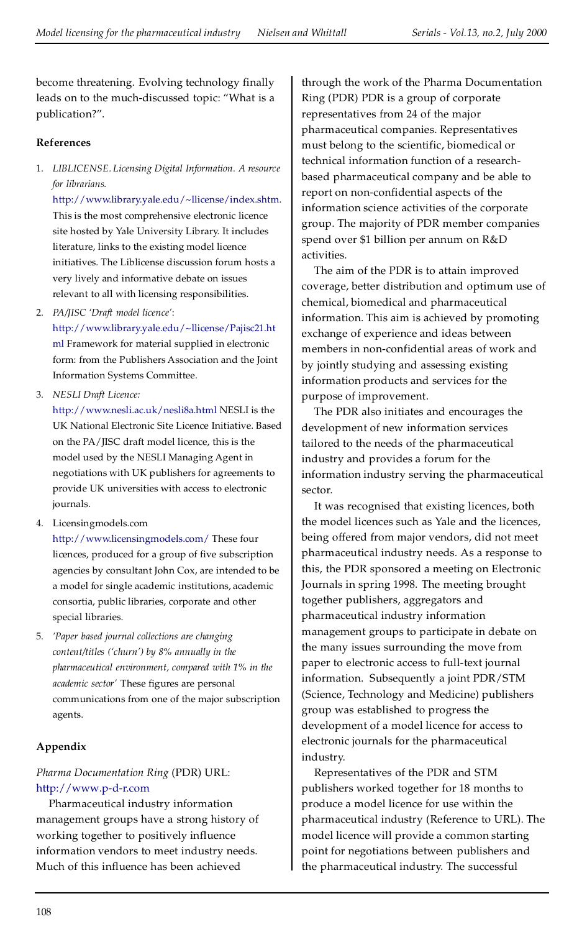become threatening. Evolving technology finally leads on to the much-discussed topic: ª What is a publication?".

## **References**

1. *LIBLICENSE. Licensing Digital Information. A resource for librarians.*

[http://www.library.yale.edu/~llicense/index.shtm.](http://www.library.yale.edu/%7Ellicense/index.shtm) This is the most comprehensive electronic licence site hosted by Yale University Library. It includes literature, links to the existing model licence initiatives. The Liblicense discussion forum hosts a very lively and informative debate on issues relevant to all with licensing responsibilities.

2. *PA/JISC `Draft model licence'*:

[http://www.library.yale.edu/~llicense/Pajisc21.ht](http://www.library.yale.edu/%7Ellicense/Pajisc21.html) [ml](http://www.library.yale.edu/%7Ellicense/Pajisc21.html) Framework for material supplied in electronic form: from the Publishers Association and the Joint Information Systems Committee.

3. *NESLI Draft Licence:*

<http://www.nesli.ac.uk/nesli8a.html> NESLI is the UK National Electronic Site Licence Initiative. Based on the PA/JISC draft model licence, this is the model used by the NESLI Managing Agent in negotiations with UK publishers for agreements to provide UK universities with access to electronic journals.

4. Licensingmodels.com

<http://www.licensingmodels.com/> These four licences, produced for a group of five subscription agencies by consultant John Cox, are intended to be a model for single academic institutions, academic consortia, public libraries, corporate and other special libraries.

5. *`Paper based journal collections are changing content/titles (`churn') by 8% annually in the pharmaceutical environment, compared with 1% in the academic sector'* These figures are personal communications from one of the major subscription agents.

## **Appendix**

# *Pharma Documentation Ring* (PDR) URL: <http://www.p-d-r.com>

Pharmaceutical industry information management groups have a strong history of working together to positively influence information vendors to meet industry needs. Much of this influence has been achieved

through the work of the Pharma Documentation Ring (PDR) PDR is a group of corporate representatives from 24 of the major pharmaceutical companies. Representatives must belong to the scientific, biomedical or technical information function of a researchbased pharmaceutical company and be able to report on non-confidential aspects of the information science activities of the corporate group. The majority of PDR member companies spend over \$1 billion per annum on R&D activities.

The aim of the PDR is to attain improved coverage, better distribution and optimum use of chemical, biomedical and pharmaceutical information. This aim is achieved by promoting exchange of experience and ideas between members in non-confidential areas of work and by jointly studying and assessing existing information products and services for the purpose of improvement.

The PDR also initiates and encourages the development of new information services tailored to the needs of the pharmaceutical industry and provides a forum for the information industry serving the pharmaceutical sector.

It was recognised that existing licences, both the model licences such as Yale and the licences, being offered from major vendors, did not meet pharmaceutical industry needs. As a response to this, the PDR sponsored a meeting on Electronic Journals in spring 1998. The meeting brought together publishers, aggregators and pharmaceutical industry information management groups to participate in debate on the many issues surrounding the move from paper to electronic access to full-text journal information. Subsequently a joint PDR/STM (Science, Technology and Medicine) publishers group was established to progress the development of a model licence for access to electronic journals for the pharmaceutical industry.

Representatives of the PDR and STM publishers worked together for 18 months to produce a model licence for use within the pharmaceutical industry (Reference to URL). The model licence will provide a common starting point for negotiations between publishers and the pharmaceutical industry. The successful